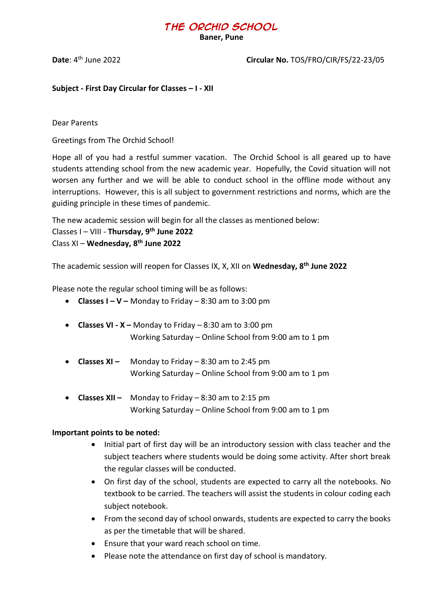# **The Orchid School**

**Baner, Pune**

**Date**: 4

#### **Circular No. TOS/FRO/CIR/FS/22-23/05**

**Subject - First Day Circular for Classes – I - XII**

Dear Parents

Greetings from The Orchid School!

Hope all of you had a restful summer vacation. The Orchid School is all geared up to have students attending school from the new academic year. Hopefully, the Covid situation will not worsen any further and we will be able to conduct school in the offline mode without any interruptions. However, this is all subject to government restrictions and norms, which are the guiding principle in these times of pandemic.

The new academic session will begin for all the classes as mentioned below: Classes I – VIII - **Thursday, 9 th June 2022** Class XI – **Wednesday, 8 th June 2022**

The academic session will reopen for Classes IX, X, XII on **Wednesday, 8th June 2022**

Please note the regular school timing will be as follows:

- **Classes I – V –** Monday to Friday 8:30 am to 3:00 pm
- **Classes VI - X –** Monday to Friday 8:30 am to 3:00 pm Working Saturday – Online School from 9:00 am to 1 pm
- **Classes XI –** Monday to Friday 8:30 am to 2:45 pm Working Saturday – Online School from 9:00 am to 1 pm
- **Classes XII –** Monday to Friday 8:30 am to 2:15 pm Working Saturday – Online School from 9:00 am to 1 pm

#### **Important points to be noted:**

- Initial part of first day will be an introductory session with class teacher and the subject teachers where students would be doing some activity. After short break the regular classes will be conducted.
- On first day of the school, students are expected to carry all the notebooks. No textbook to be carried. The teachers will assist the students in colour coding each subject notebook.
- From the second day of school onwards, students are expected to carry the books as per the timetable that will be shared.
- Ensure that your ward reach school on time.
- Please note the attendance on first day of school is mandatory.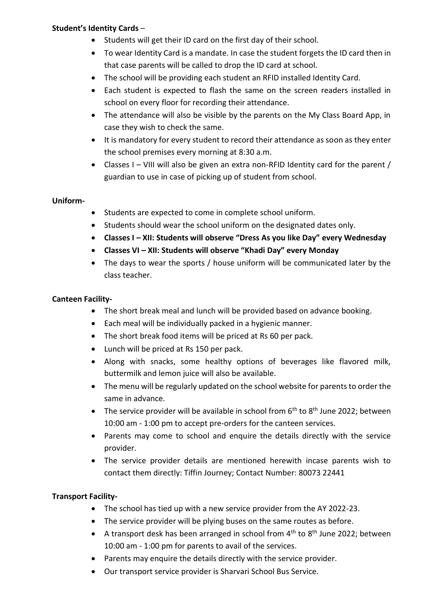# **Student's Identity Cards** –

- Students will get their ID card on the first day of their school.
- To wear Identity Card is a mandate. In case the student forgets the ID card then in that case parents will be called to drop the ID card at school.
- The school will be providing each student an RFID installed Identity Card.
- Each student is expected to flash the same on the screen readers installed in school on every floor for recording their attendance.
- The attendance will also be visible by the parents on the My Class Board App, in case they wish to check the same.
- It is mandatory for every student to record their attendance as soon as they enter the school premises every morning at 8:30 a.m.
- Classes I VIII will also be given an extra non-RFID Identity card for the parent / guardian to use in case of picking up of student from school.

#### **Uniform-**

- Students are expected to come in complete school uniform.
- Students should wear the school uniform on the designated dates only.
- **Classes I – XII: Students will observe "Dress As you like Day" every Wednesday**
- **Classes VI – XII: Students will observe "Khadi Day" every Monday**
- The days to wear the sports / house uniform will be communicated later by the class teacher.

#### **Canteen Facility-**

- The short break meal and lunch will be provided based on advance booking.
- Each meal will be individually packed in a hygienic manner.
- The short break food items will be priced at Rs 60 per pack.
- Lunch will be priced at Rs 150 per pack.
- Along with snacks, some healthy options of beverages like flavored milk, buttermilk and lemon juice will also be available.
- The menu will be regularly updated on the school website for parents to order the same in advance.
- The service provider will be available in school from  $6<sup>th</sup>$  to  $8<sup>th</sup>$  June 2022; between 10:00 am - 1:00 pm to accept pre-orders for the canteen services.
- Parents may come to school and enquire the details directly with the service provider.
- The service provider details are mentioned herewith incase parents wish to contact them directly: Tiffin Journey; Contact Number: 80073 22441

# **Transport Facility-**

- The school has tied up with a new service provider from the AY 2022-23.
- The service provider will be plying buses on the same routes as before.
- A transport desk has been arranged in school from  $4^{th}$  to  $8^{th}$  June 2022; between 10:00 am - 1:00 pm for parents to avail of the services.
- Parents may enquire the details directly with the service provider.
- Our transport service provider is Sharvari School Bus Service.